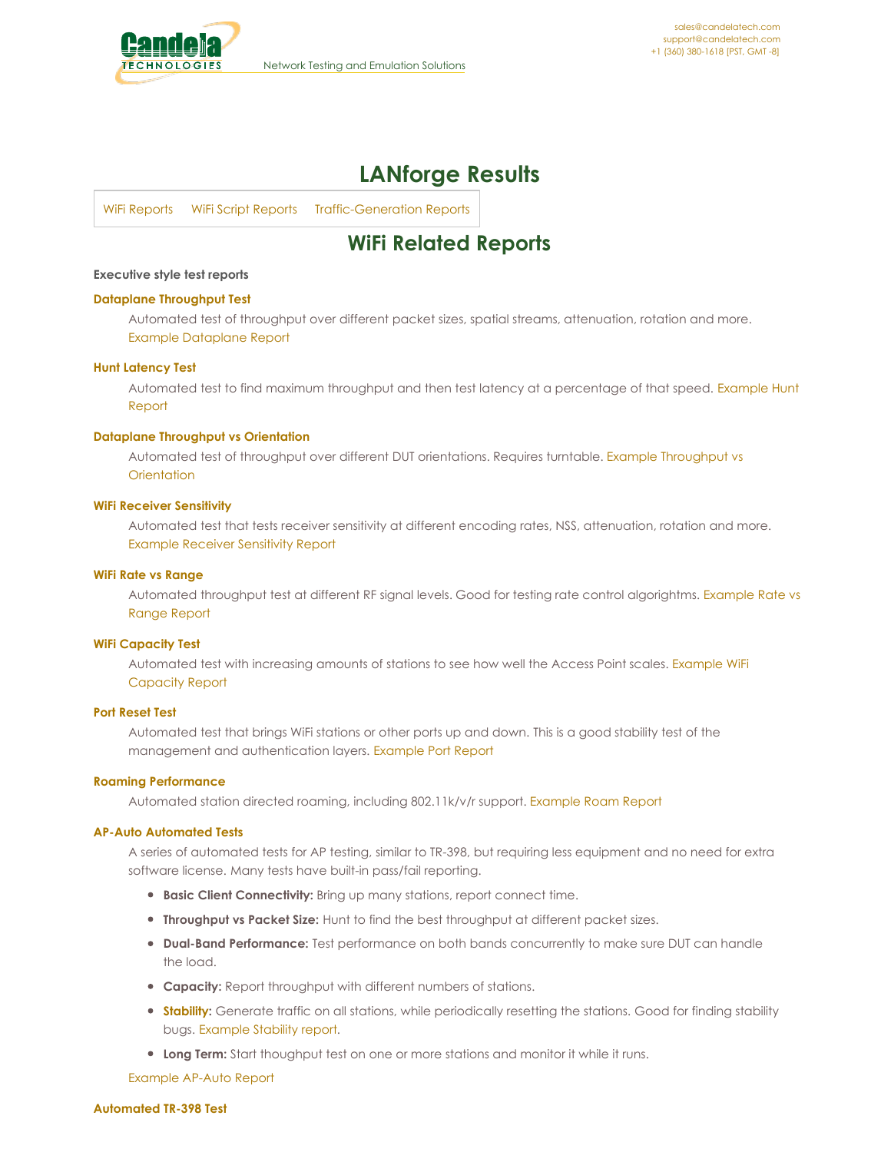<span id="page-0-0"></span>

# **LANforge Results**

WiFi [Reports](#page-0-0) WiFi Script [Reports](#page-0-0) [Traffic-Generation](#page-0-0) Reports

## **WiFi Related Reports**

#### **Executive style test reports**

#### **Dataplane [Throughput](http://www.candelatech.com/cookbook/wifire/dataplane) Test**

Automated test of throughput over different packet sizes, spatial streams, attenuation, rotation and more. Example [Dataplane](http://www.candelatech.com/examples/dataplane-report-2019-05-31-04-40-38.pdf) Report

#### **Hunt [Latency](http://www.candelatech.com/cookbook/wifire/hunt) Test**

Automated test to find maximum throughput and then test latency at a [percentage](http://www.candelatech.com/examples/hunt-report-2020-03-17-02-09-13.pdf) of that speed. Example Hunt Report

#### **Dataplane [Throughput](http://www.candelatech.com/cookbook/wifire/dataplane_orientation) vs Orientation**

Automated test of throughput over different DUT [orientations.](http://www.candelatech.com/examples/dataplane-report-2019-09-19-01-54-59.pdf) Requires turntable. Example Throughput vs **Orientation** 

#### **WiFi Receiver [Sensitivity](http://www.candelatech.com/cookbook/wifire/rxsens)**

Automated test that tests receiver sensitivity at different encoding rates, NSS, attenuation, rotation and more. Example Receiver [Sensitivity](http://www.candelatech.com/examples/rx-sensitivity-report-2019-05-31-03-39-11.pdf) Report

#### **WiFi Rate vs [Range](http://www.candelatech.com/cookbook/wifire/rate-vs-range)**

Automated throughput test at different RF signal levels. Good for testing rate control [algorightms.](http://www.candelatech.com/examples/rate-vs-range-report-2019-06-01-01-38-54.pdf) Example Rate vs Range Report

#### **WiFi [Capacity](http://www.candelatech.com/cookbook/wifire/wifi-capacity-cv) Test**

[Automated](http://www.candelatech.com/examples/wifi-capacity-report-2019-06-01-01-16-49.pdf) test with increasing amounts of stations to see how well the Access Point scales. Example WiFi Capacity Report

#### **Port [Reset](http://www.candelatech.com/cookbook/wifire/port-reset) Test**

Automated test that brings WiFi stations or other ports up and down. This is a good stability test of the management and authentication layers. [Example](http://www.candelatech.com/examples/port-reset-report-2019-06-05-11-32-25.pdf) Port Report

#### **Roaming [Performance](http://www.candelatech.com/cookbook/wifire/wifi-roam-cv)**

Automated station directed roaming, including 802.11k/v/r support. [Example](http://www.candelatech.com/examples/wifi-mobility-report-2019-06-07-07-43-44.pdf) Roam Report

#### **AP-Auto [Automated](http://www.candelatech.com/cookbook/wifire/short-ap) Tests**

A series of automated tests for AP testing, similar to TR-398, but requiring less equipment and no need for extra software license. Many tests have built-in pass/fail reporting.

- **Basic Client Connectivity:** Bring up many stations, report connect time.
- **Throughput vs Packet Size:** Hunt to find the best throughput at different packet sizes.
- **Dual-Band Performance:** Test performance on both bands concurrently to make sure DUT can handle the load.
- **Capacity:** Report throughput with different numbers of stations.
- **[Stability](http://www.candelatech.com/cookbook/wifire/short-ap-mix):** Generate traffic on all stations, while periodically resetting the stations. Good for finding stability bugs. [Example](http://www.candelatech.com/examples/ap-auto-report-2020-04-06-01-55-27-reset.pdf) Stability report.
- **Long Term:** Start thoughput test on one or more stations and monitor it while it runs.

[Example](http://www.candelatech.com/examples/ap-auto-report-2019-10-01-12-25-33.pdf) AP-Auto Report